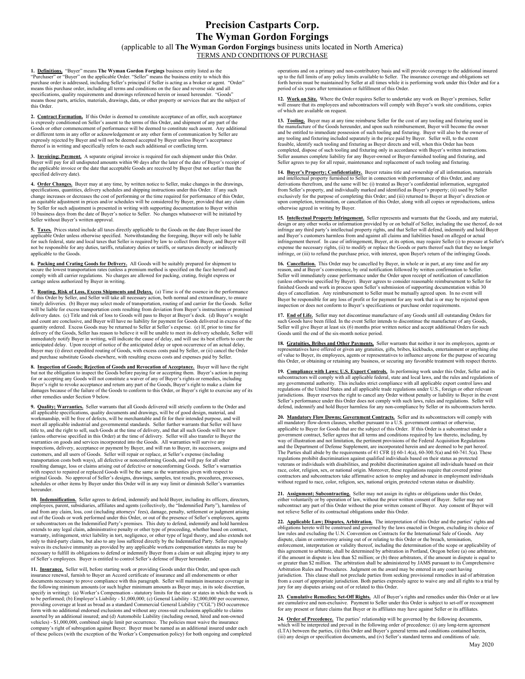# Precision Castparts Corp. The Wyman Gordon Forgings (applicable to all The Wyman Gordon Forgings business units located in North America)

TERMS AND CONDITIONS OF PURCHASE

1. Definitions. "Buyer" means The Wyman Gordon Forgings business entity listed as the "Purchaser" or "Buyer" on the applicable Order. "Seller" means the business entity to which this<br>purchase order is addressed, including Seller's principal if Seller is acting as a broker or agent. "Order"<br>means this purcha specifications, quality requirements and drawings referenced herein or issued hereunder. "Goods" means those parts, articles, materials, drawings, data, or other property or services that are the subject of this Order.

2. Contract Formation. If this Order is deemed to constitute acceptance of an offer, such acceptance is expressly conditioned on Seller's assent to the terms of this Order, and shipment of any part of the Goods or other commencement of performance will be deemed to constitute such assent. Any additional or different term in any offer or acknowledgement or any other form of communication by Seller are expressly rejected by Buyer and will not be deemed accepted by Buyer unless Buyer's acceptance thereof is in writing and specifically refers to each such additional or conflicting term.

3. Invoicing; Payment. A separate original invoice is required for each shipment under this Order. Buyer will pay for all undisputed amounts within 90 days after the later of the date of Buyer's receipt of the applicable invoice or the date that acceptable Goods are received by Buyer (but not earlier than the specified delivery date).

4. Order Changes. Buyer may at any time, by written notice to Seller, make changes in the drawings, specifications, quantities, delivery schedules and shipping instructions under this Order. If any such specifications, change increases or decreases the cost of performing or the time required for performance of this Order, an equitable adjustment in prices and/or schedules will be considered by Buyer, provided that any claim by Seller for such adjustment is presented in writing with supporting documentation to Buyer within 10 business days from the date of Buyer's notice to Seller. No changes whatsoever will be initiated by Seller without Buyer's written approval.

5. Taxes. Prices stated include all taxes directly applicable to the Goods on the date Buyer issued the applicable Order unless otherwise specified. Notwithstanding the foregoing, Buyer will only be liable for such federal, state and local taxes that Seller is required by law to collect from Buyer, and Buyer will not be responsible for any duties, tariffs, retaliatory duties or tariffs, or surtaxes directly or indirectly applicable to the Goods.

**6. Packing and Crating Goods for Delivery.** All Goods will be suitably prepared for shipment to secure the lowest transportation rates (unless a premium method is specified on the face hereof) and comply with all carrier regulations. No charges are allowed for packing, crating, freight express or cartage unless authorized by Buyer in writing.

7. Routing, Risk of Loss, Excess Shipments and Delays. (a) Time is of the essence in the performance of this Order by Seller, and Seller will take all necessary action, both normal and extraordinary, to ensure timely deliveries. (b) Buyer may select mode of transportation, routing of and carrier for the Goods. Seller will be liable for excess transportation costs resulting from deviation from Buyer's instructions or promised delivery dates. (c) Title and risk of loss to Goods will pass to Buyer at Buyer's dock. (d) Buyer's weight and count are conclusive, and Buyer will have no liability for payment for Goods delivered in excess of the quantity ordered. Excess Goods may be returned to Seller at Seller's expense. (e) If, prior to time for delivery of the Goods, Seller has reason to believe it will be unable to meet its delivery schedule, Seller will immediately notify Buyer in writing, will indicate the cause of delay, and will use its best efforts to cure the anticipated delay. Upon receipt of notice of the anticipated delay or upon occurrence of an actual delay, Buyer may (i) direct expedited routing of Goods, with excess costs paid by Seller, or (ii) cancel the Order and purchase substitute Goods elsewhere, with resulting excess costs and expenses paid by Seller.

8. Inspection of Goods; Rejection of Goods and Revocation of Acceptance. Buyer will have the right but not the obligation to inspect the Goods before paying for or accepting them. Buyer's action in paying for or accepting any Goods will not constitute a waiver of any of Buyer's rights or remedies, including Buyer's right to revoke acceptance and return any part of the Goods, Buyer's right to make a claim for damages because of the failure of the Goods to conform to this Order, or Buyer's right to exercise any of its other remedies under Section 9 below.

9. Quality; Warranties. Seller warrants that all Goods delivered will strictly conform to the Order and all applicable specifications, quality documents and drawings, will be of good design, material, and workmanship, will be free of defects, will be merchantable and fit for their intended purpose, and will meet all applicable industrial and governmental standards. Seller further warrants that Seller will have title to, and the right to sell, such Goods at the time of delivery, and that all such Goods will be new (unless otherwise specified in this Order) at the time of delivery. Seller will also transfer to Buyer the warranties on goods and services incorporated into the Goods. All warranties will survive any inspections, delivery, acceptance or payment by Buyer, and will run to Buyer, its successors, assigns and customers, and all users of Goods. Seller will repair or replace, at Seller's expense (including transportation costs both ways), all defective or nonconforming Goods, and will pay for all other resulting damage, loss or claims arising out of defective or nonconforming Goods. Seller's warranties with respect to repaired or replaced Goods will be the same as the warranties given with respect to original Goods. No approval of Seller's designs, drawings, samples, test results, procedures, processes, schedules or other items by Buyer under this Order will in any way limit or diminish Seller's warranties hereunder.

10. Indemnification. Seller agrees to defend, indemnify and hold Buyer, including its officers, directors,<br>employees, parent, subsidiaries, affiliates and agents (collectively, the "Indemnified Party"), harmless of<br>and fro out of the Goods or work performed under this Order, or out of the presence of Seller's employees, agents or subcontractors on the Indemnified Party's premises. This duty to defend, indemnify and hold harmless extends to any legal claim, administrative penalty or other type of proceeding, whether based on contract, warranty, infringement, strict liability in tort, negligence, or other type of legal theory, and also extends not only to third-party claims, but also to any loss suffered directly by the Indemnified Party. Seller expressly waives its exclusive immunity as provided by any applicable workers compensation statutes as may be necessary to fulfill its obligations to defend or indemnify Buyer from a claim or suit alleging injury to any of Seller's employees. Buyer is entitled to control Seller's defense of Buyer hereunder.

11. **Insurance**, Seller will, before starting work or providing Goods under this Order, and upon each insurance renewal, furnish to Buyer an Accord certificate of insurance and all endorsements or other documents necessary to prove compliance with this paragraph. Seller will maintain insurance coverage in the following minimum amounts (or such higher minimum amounts as Buyer may, in its sole discretion, specify in writing): (a) Worker's Compensation - statutory limits for the state or states in which the work is to be performed; (b) Employer's Liability - \$1,000,000; (c) General Liability - \$2,000,000 per occurrence, providing coverage at least as broad as a standard Commercial General Liability ("CGL") ISO occurrence form with no additional endorsed exclusions and without any cross-suit exclusions applicable to claims asserted by an additional insured; and (d) Automobile Liability (including owned, hired and non-owned vehicles) - \$1,000,000, combined single limit per occurrence. The policies must waive the insurance company's right of subrogation against Buyer. Buyer must be named as an additional insured under each of these polices (with the exception of the Worker's Compensation policy) for both ongoing and completed operations and on a primary and non-contributory basis and will provide coverage to the additional insured up to the full limits of any policy limits available to Seller. The insurance coverage and obligations set forth herein must be maintained by Seller at all times while it is performing work under this Order and for a period of six years after termination or fulfillment of this Order.

12. Work on Site. Where the Order requires Seller to undertake any work on Buyer's premises, Seller will ensure that its employees and subcontractors will comply with Buyer's work site conditions, copies of which are available on request.

13. Tooling. Buyer may at any time reimburse Seller for the cost of any tooling and fixturing used in the manufacture of the Goods hereunder, and upon such reimbursement, Buyer will become the owner and be entitled to immediate possession of such tooling and fixturing. Buyer will also be the owner of any tooling and fixturing included separately in the price paid by Buyer. Seller will, to the extent feasible, identify such tooling and fixturing as Buyer directs and will, when this Order has been completed, dispose of such tooling and fixturing only in accordance with Buyer's written instructions. Seller assumes complete liability for any Buyer-owned or Buyer-furnished tooling and fixturing, and Seller agrees to pay for all repair, maintenance and replacement of such tooling and fixturing.

14. Buyer's Property; Confidentiality. Buyer retains title and ownership of all information, materials and intellectual property furnished to Seller in connection with performance of this Order, and any derivations therefrom, and the same will be: (i) treated as Buyer's confidential information, segregated from Seller's property, and individually marked and identified as Buyer's property; (ii) used by Seller exclusively for the purpose of completing this Order; and (iii) returned to Buyer at Buyer's direction or upon completion, termination, or cancellation of this Order, along with all copies or reproductions, unless otherwise agreed in writing by Buyer.

15. **Intellectual Property Infringement.** Seller represents and warrants that the Goods, and any material, design or any other works or information provided by or on behalf of Seller, including the use thereof, do not infringe any third party's intellectual property rights, and that Seller will defend, indemnify and hold Buyer and Buyer's customers harmless from and against all claims and liabilities based on alleged or actual infringement thereof. In case of infringement, Buyer, at its option, may require Seller (i) to procure at Seller's expense the necessary rights, (ii) to modify or replace the Goods or parts thereof such that they no longer infringe, or (iii) to refund the purchase price, with interest, upon Buyer's return of the infringing Goods.

16. Cancellation. This Order may be cancelled by Buyer, in whole or in part, at any time and for any reason, and at Buyer's convenience, by oral notification followed by written confirmation to Seller. Seller will immediately cease performance under the Order upon receipt of notification of cancellation (unless otherwise specified by Buyer). Buyer agrees to consider reasonable reimbursement to Seller for finished Goods and work in process upon Seller's submission of supporting documentation within 30 days of cancellation. Any reimbursement to Seller must be mutually agreed upon. In no event will Buyer be responsible for any loss of profit or for payment for any work that is or may be rejected upon inspection or does not conform to Buyer's specifications or purchase order requirements.

17. End of Life. Seller may not discontinue manufacture of any Goods until all outstanding Orders for<br>such Goods have been filled. In the event Seller intends to discontinue the manufacture of any Goods, Seller will give Buyer at least six (6) months prior written notice and accept additional Orders for such Goods until the end of the six-month notice period.

18. Gratuities, Bribes and Other Payments. Seller warrants that neither it nor its employees, agents or representatives have offered or given any gratuities, gifts, bribes, kickbacks, entertainment or anything else of value to Buyer, its employees, agents or representatives to influence anyone for the purpose of securing this Order, or obtaining or retaining any business, or securing any favorable treatment with respect thereto.

19. Compliance with Laws; U.S. Export Controls. In performing work under this Order, Seller and its subcontractors will comply with all applicable federal, state and local laws, and the rules and regulations of any governmental authority. This includes strict compliance with all applicable export control laws and regulations of the United States and all applicable trade regulations under U.S., foreign or other relevant jurisdictions. Buyer reserves the right to cancel any Order without penalty or liability to Buyer in the event Seller's performance under this Order does not comply with such laws, rules and regulations. Seller will defend, indemnify and hold Buyer harmless for any non-compliance by Seller or its subcontractors hereto.

20. Mandatory Flow Downs; Government Contracts. Seller and its subcontractors will comply with<br>all mandatory flow-down clauses, whether pursuant to a U.S. government contract or otherwise, applicable to Buyer for Goods that are the subject of this Order. If this Order is a subcontract under a government contract, Seller agrees that all terms and conditions required by law thereto, including, by way of illustration and not limitation, the pertinent provisions of the Federal Acquisition Regulations and the Department of Defense Supplement, are incorporated herein and are deemed to be part hereof. The Parties shall abide by the requirements of 41 CFR §§ 60-1.4(a), 60-300.5(a) and 60-741.5(a). These regulations prohibit discrimination against qualified individuals based on their status as protected veterans or individuals with disabilities, and prohibit discrimination against all individuals based on their race, color, religion, sex, or national origin. Moreover, these regulations require that covered prime contractors and subcontractors take affirmative action to employ and advance in employment individuals without regard to race, color, religion, sex, national origin, protected veteran status or disability.

21. Assignment; Subcontracting. Seller may not assign its rights or obligations under this Order, either voluntarily or by operation of law, without the prior written consent of Buyer. Seller may no subcontract any part of this Order without the prior written consent of Buyer. Any consent of Buyer will not relieve Seller of its contractual obligations under this Order.

22. **Applicable Law; Disputes, Arbitration.** The interpretation of this Order and the parties' rights and obligations hereto will be construed and governed by the laws enacted in Oregon, excluding its choice of law rules and excluding the U.N. Convention on Contracts for the International Sale of Goods. Any dispute, claim or controversy arising out of or relating to this Order or the breach, termination, enforcement, interpretation or validity thereof, including the determination of the scope or applicability of this agreement to arbitrate, shall be determined by arbitration in Portland, Oregon before (a) one arbitrator, if the amount in dispute is less than \$2 million; or (b) three arbitrators, if the amount in dispute is equal to or greater than \$2 million. The arbitration shall be administered by JAMS pursuant to its Comprehensive Arbitration Rules and Procedures. Judgment on the award may be entered in any court having jurisdiction. This clause shall not preclude parties from seeking provisional remedies in aid of arbitration from a court of appropriate jurisdiction. Both parties expressly agree to waive any and all rights to a trial by jury for any disputes arising out of or related to this Order.

23. Cumulative Remedies; Set-Off Rights. All of Buyer's rights and remedies under this Order or at law<br>are cumulative and non-exclusive. Payment to Seller under this Order is subject to set-off or recoupment for any present or future claims that Buyer or its affiliates may have against Seller or its affiliates.

24. Order of Precedence. The parties' relationship will be governed by the following documents, which will be interpreted and prevail in the following order of precedence: (i) any long-term agreement (LTA) between the parties, (ii) this Order and Buyer's general terms and conditions contained herein, (iii) any design or specification documents, and (iv) Seller's standard terms and conditions of sale.